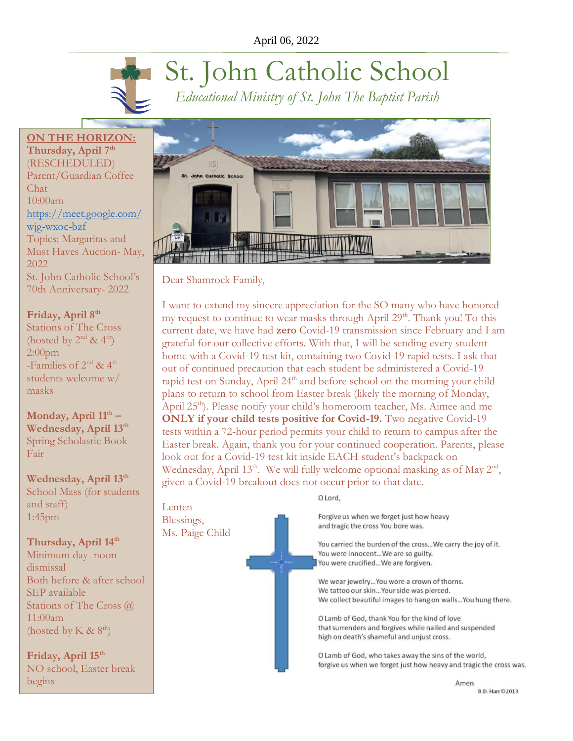# St. John Catholic School *Educational Ministry of St. John The Baptist Parish*

**ON THE HORIZON: Thursday, April 7th** (RESCHEDULED) Parent/Guardian Coffee Chat  $10:00$ am [https://meet.google.com/](https://meet.google.com/wjg-wxoc-bzf) [wjg-wxoc-bzf](https://meet.google.com/wjg-wxoc-bzf) Topics: Margaritas and Must Haves Auction- May, 2022 St. John Catholic School's 70th Anniversary- 2022

# **Friday, April 8th**

Stations of The Cross (hosted by  $2^{nd}$  &  $4^{th}$ ) 2:00pm -Families of  $2^{nd}$  &  $4^{th}$ students welcome w/ masks

**Monday, April 11th – Wednesday, April 13th** Spring Scholastic Book Fair

**Wednesday, April 13th** School Mass (for students and staff) 1:45pm

**Thursday, April 14th**

Minimum day- noon dismissal Both before & after school SEP available Stations of The Cross @ 11:00am (hosted by K  $\&$  8<sup>th</sup>)

**Friday, April 15th** NO school, Easter break begins



Dear Shamrock Family,

I want to extend my sincere appreciation for the SO many who have honored my request to continue to wear masks through April 29<sup>th</sup>. Thank you! To this current date, we have had **zero** Covid-19 transmission since February and I am grateful for our collective efforts. With that, I will be sending every student home with a Covid-19 test kit, containing two Covid-19 rapid tests. I ask that out of continued precaution that each student be administered a Covid-19 rapid test on Sunday, April 24<sup>th</sup> and before school on the morning your child plans to return to school from Easter break (likely the morning of Monday, April 25<sup>th</sup>). Please notify your child's homeroom teacher, Ms. Aimee and me **ONLY** if your child tests positive for Covid-19. Two negative Covid-19 tests within a 72-hour period permits your child to return to campus after the Easter break. Again, thank you for your continued cooperation. Parents, please look out for a Covid-19 test kit inside EACH student's backpack on Wednesday, April  $13<sup>th</sup>$ . We will fully welcome optional masking as of May  $2<sup>nd</sup>$ , given a Covid-19 breakout does not occur prior to that date.

O Lord,

Forgive us when we forget just how heavy and tragic the cross You bore was.

You carried the burden of the cross... We carry the joy of it. You were innocent... We are so guilty. You were crucified...We are forgiven.

We wear jewelry... You wore a crown of thorns. We tattoo our skin... Your side was pierced. We collect beautiful images to hang on walls... You hung there.

O Lamb of God, thank You for the kind of love that surrenders and forgives while nailed and suspended high on death's shameful and unjust cross.

O Lamb of God, who takes away the sins of the world, forgive us when we forget just how heavy and tragic the cross was.

> Amen **B.D. Harr©2013**

Lenten Blessings, Ms. Paige Child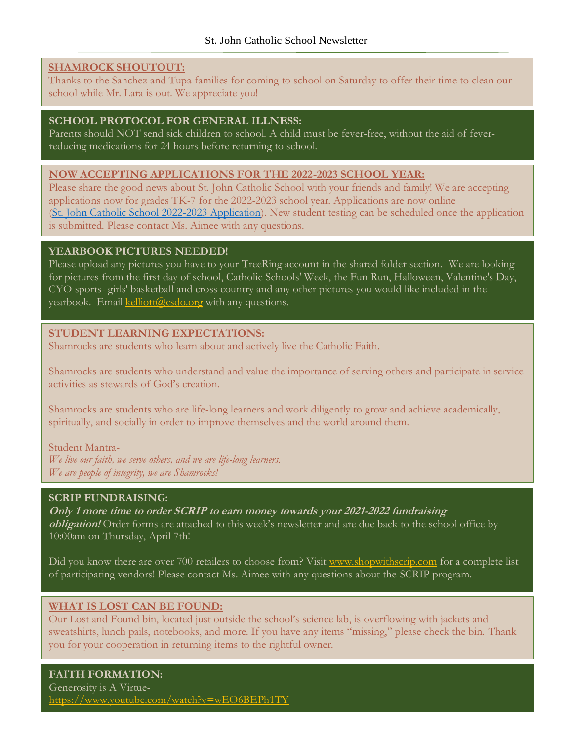## **SHAMROCK SHOUTOUT:**

Thanks to the Sanchez and Tupa families for coming to school on Saturday to offer their time to clean our school while Mr. Lara is out. We appreciate you!

## **SCHOOL PROTOCOL FOR GENERAL ILLNESS:**

Parents should NOT send sick children to school. A child must be fever-free, without the aid of feverreducing medications for 24 hours before returning to school.

#### **NOW ACCEPTING APPLICATIONS FOR THE 2022-2023 SCHOOL YEAR:**

Please share the good news about St. John Catholic School with your friends and family! We are accepting applications now for grades TK-7 for the 2022-2023 school year. Applications are now online (St. John Catholic School 2022-2023 [Application\)](https://registration.powerschool.com/family/gosnap.aspx?action=30275&culture=en). New student testing can be scheduled once the application is submitted. Please contact Ms. Aimee with any questions.

#### **YEARBOOK PICTURES NEEDED!**

Please upload any pictures you have to your TreeRing account in the shared folder section. We are looking for pictures from the first day of school, Catholic Schools' Week, the Fun Run, Halloween, Valentine's Day, CYO sports- girls' basketball and cross country and any other pictures you would like included in the yearbook. Email [kelliott@csdo.org](mailto:kelliott@csdo.org) with any questions.

## **STUDENT LEARNING EXPECTATIONS:**

Shamrocks are students who learn about and actively live the Catholic Faith.

Shamrocks are students who understand and value the importance of serving others and participate in service activities as stewards of God's creation.

Shamrocks are students who are life-long learners and work diligently to grow and achieve academically, spiritually, and socially in order to improve themselves and the world around them.

#### Student Mantra-

*We live our faith, we serve others, and we are life-long learners. We are people of integrity, we are Shamrocks!*

#### **SCRIP FUNDRAISING:**

**Only 1 more time to order SCRIP to earn money towards your 2021-2022 fundraising obligation!** Order forms are attached to this week's newsletter and are due back to the school office by 10:00am on Thursday, April 7th!

Did you know there are over 700 retailers to choose from? Visit [www.shopwithscrip.com](http://www.shopwithscrip.com/) for a complete list of participating vendors! Please contact Ms. Aimee with any questions about the SCRIP program.

## **WHAT IS LOST CAN BE FOUND:**

Our Lost and Found bin, located just outside the school's science lab, is overflowing with jackets and sweatshirts, lunch pails, notebooks, and more. If you have any items "missing," please check the bin. Thank you for your cooperation in returning items to the rightful owner.

# **FAITH FORMATION:**

Generosity is A Virtue<https://www.youtube.com/watch?v=wEO6BEPh1TY>